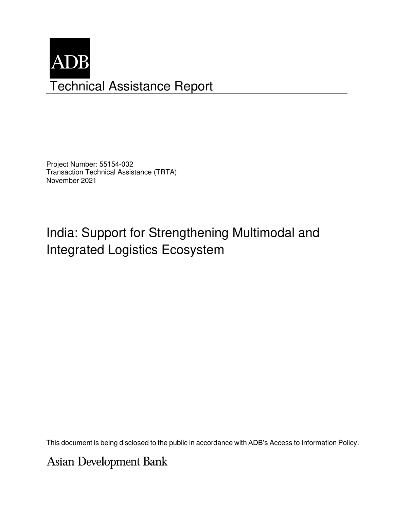

Project Number: 55154-002 Transaction Technical Assistance (TRTA) November 2021

# India: Support for Strengthening Multimodal and Integrated Logistics Ecosystem

This document is being disclosed to the public in accordance with ADB's Access to Information Policy.

**Asian Development Bank**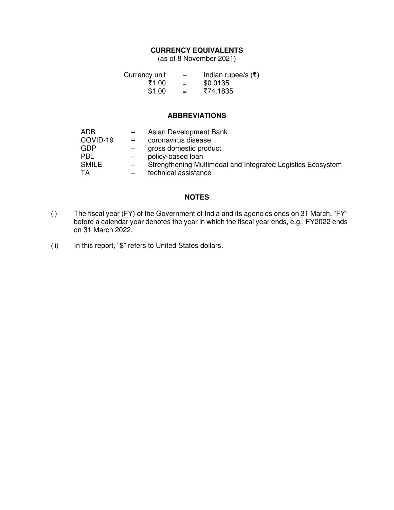## **CURRENCY EQUIVALENTS**

(as of 8 November 2021)

| Currency unit |     | Indian rupee/s $(\bar{\tau})$ |
|---------------|-----|-------------------------------|
| ₹1.00         | $=$ | \$0.0135                      |
| \$1.00        | $=$ | ₹74.1835                      |

#### **ABBREVIATIONS**

| ADB      | $-$               | Asian Development Bank                                      |
|----------|-------------------|-------------------------------------------------------------|
| COVID-19 | $\sim$            | coronavirus disease                                         |
| GDP      |                   | gross domestic product                                      |
| PBL      |                   | policy-based loan                                           |
| SMILE    | $\qquad \qquad -$ | Strengthening Multimodal and Integrated Logistics Ecosystem |
| TA       |                   | technical assistance                                        |

#### **NOTES**

- (i) The fiscal year (FY) of the Government of India and its agencies ends on 31 March. "FY" before a calendar year denotes the year in which the fiscal year ends, e.g., FY2022 ends on 31 March 2022.
- (ii) In this report, "\$" refers to United States dollars.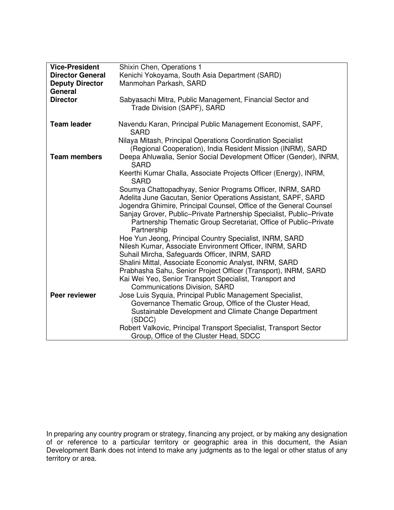| <b>Vice-President</b>   | Shixin Chen, Operations 1                                            |
|-------------------------|----------------------------------------------------------------------|
|                         |                                                                      |
| <b>Director General</b> | Kenichi Yokoyama, South Asia Department (SARD)                       |
| <b>Deputy Director</b>  | Manmohan Parkash, SARD                                               |
| General                 |                                                                      |
| <b>Director</b>         | Sabyasachi Mitra, Public Management, Financial Sector and            |
|                         | Trade Division (SAPF), SARD                                          |
|                         |                                                                      |
| <b>Team leader</b>      | Navendu Karan, Principal Public Management Economist, SAPF,          |
|                         | <b>SARD</b>                                                          |
|                         |                                                                      |
|                         | Nilaya Mitash, Principal Operations Coordination Specialist          |
|                         | (Regional Cooperation), India Resident Mission (INRM), SARD          |
| <b>Team members</b>     | Deepa Ahluwalia, Senior Social Development Officer (Gender), INRM,   |
|                         | <b>SARD</b>                                                          |
|                         | Keerthi Kumar Challa, Associate Projects Officer (Energy), INRM,     |
|                         | <b>SARD</b>                                                          |
|                         | Soumya Chattopadhyay, Senior Programs Officer, INRM, SARD            |
|                         |                                                                      |
|                         | Adelita June Gacutan, Senior Operations Assistant, SAPF, SARD        |
|                         | Jogendra Ghimire, Principal Counsel, Office of the General Counsel   |
|                         | Sanjay Grover, Public-Private Partnership Specialist, Public-Private |
|                         | Partnership Thematic Group Secretariat, Office of Public-Private     |
|                         | Partnership                                                          |
|                         | Hoe Yun Jeong, Principal Country Specialist, INRM, SARD              |
|                         | Nilesh Kumar, Associate Environment Officer, INRM, SARD              |
|                         | Suhail Mircha, Safeguards Officer, INRM, SARD                        |
|                         |                                                                      |
|                         | Shalini Mittal, Associate Economic Analyst, INRM, SARD               |
|                         | Prabhasha Sahu, Senior Project Officer (Transport), INRM, SARD       |
|                         | Kai Wei Yeo, Senior Transport Specialist, Transport and              |
|                         | <b>Communications Division, SARD</b>                                 |
| Peer reviewer           | Jose Luis Syquia, Principal Public Management Specialist,            |
|                         | Governance Thematic Group, Office of the Cluster Head,               |
|                         | Sustainable Development and Climate Change Department                |
|                         | (SDCC)                                                               |
|                         |                                                                      |
|                         | Robert Valkovic, Principal Transport Specialist, Transport Sector    |
|                         | Group, Office of the Cluster Head, SDCC                              |

In preparing any country program or strategy, financing any project, or by making any designation of or reference to a particular territory or geographic area in this document, the Asian Development Bank does not intend to make any judgments as to the legal or other status of any territory or area.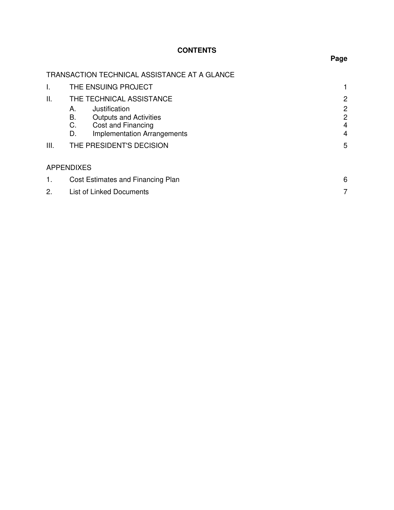# **CONTENTS**

|     |                             | TRANSACTION TECHNICAL ASSISTANCE AT A GLANCE                                                                                           |                                             |
|-----|-----------------------------|----------------------------------------------------------------------------------------------------------------------------------------|---------------------------------------------|
| I.  |                             | THE ENSUING PROJECT                                                                                                                    |                                             |
| ΙΙ. |                             | THE TECHNICAL ASSISTANCE                                                                                                               | $\mathbf{2}$                                |
| Ш.  | А.<br><b>B.</b><br>C.<br>D. | Justification<br><b>Outputs and Activities</b><br>Cost and Financing<br><b>Implementation Arrangements</b><br>THE PRESIDENT'S DECISION | $\mathbf{2}$<br>$\mathbf{2}$<br>4<br>4<br>5 |
|     |                             |                                                                                                                                        |                                             |
|     | <b>APPENDIXES</b>           |                                                                                                                                        |                                             |
| 1.  |                             | Cost Estimates and Financing Plan                                                                                                      | 6                                           |
| 2.  |                             | <b>List of Linked Documents</b>                                                                                                        | 7                                           |

**Page**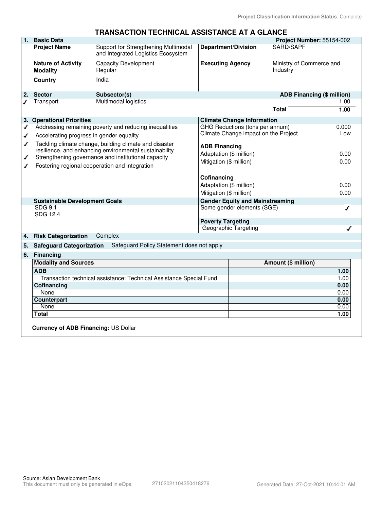|    |                                                 | TRANSACTION TECHNICAL ASSISTANCE AT A GLANCE                                                                     |                            |                                                                      |                                      |       |
|----|-------------------------------------------------|------------------------------------------------------------------------------------------------------------------|----------------------------|----------------------------------------------------------------------|--------------------------------------|-------|
| 1. | <b>Basic Data</b>                               |                                                                                                                  |                            |                                                                      | Project Number: 55154-002            |       |
|    | <b>Project Name</b>                             | Support for Strengthening Multimodal<br>and Integrated Logistics Ecosystem                                       | <b>Department/Division</b> |                                                                      | SARD/SAPF                            |       |
|    | <b>Nature of Activity</b><br><b>Modality</b>    | <b>Capacity Development</b><br>Regular                                                                           | <b>Executing Agency</b>    |                                                                      | Ministry of Commerce and<br>Industry |       |
|    | <b>Country</b>                                  | India                                                                                                            |                            |                                                                      |                                      |       |
| 2. | <b>Sector</b>                                   | Subsector(s)                                                                                                     |                            |                                                                      | ADB Financing (\$ million)           |       |
|    | Transport                                       | Multimodal logistics                                                                                             |                            |                                                                      |                                      | 1.00  |
|    |                                                 |                                                                                                                  |                            |                                                                      | Total                                | 1.00  |
|    | 3. Operational Priorities                       |                                                                                                                  |                            | <b>Climate Change Information</b>                                    |                                      |       |
| ◢  |                                                 | Addressing remaining poverty and reducing inequalities                                                           |                            | GHG Reductions (tons per annum)                                      |                                      | 0.000 |
| ✔  | Accelerating progress in gender equality        |                                                                                                                  |                            | Climate Change impact on the Project                                 |                                      | Low   |
| ◢  |                                                 | Tackling climate change, building climate and disaster<br>resilience, and enhancing environmental sustainability | <b>ADB Financing</b>       |                                                                      |                                      |       |
| ✔  |                                                 | Strengthening governance and institutional capacity                                                              | Adaptation (\$ million)    |                                                                      |                                      | 0.00  |
| ℐ  |                                                 | Fostering regional cooperation and integration                                                                   | Mitigation (\$ million)    |                                                                      | 0.00                                 |       |
|    |                                                 |                                                                                                                  |                            |                                                                      |                                      |       |
|    |                                                 |                                                                                                                  | Cofinancing                |                                                                      |                                      |       |
|    |                                                 |                                                                                                                  | Adaptation (\$ million)    |                                                                      |                                      | 0.00  |
|    |                                                 |                                                                                                                  | Mitigation (\$ million)    |                                                                      |                                      | 0.00  |
|    | <b>Sustainable Development Goals</b><br>SDG 9.1 |                                                                                                                  |                            | <b>Gender Equity and Mainstreaming</b><br>Some gender elements (SGE) |                                      | ◢     |
|    | SDG 12.4                                        |                                                                                                                  |                            |                                                                      |                                      |       |
|    |                                                 |                                                                                                                  | <b>Poverty Targeting</b>   |                                                                      |                                      |       |
|    |                                                 |                                                                                                                  |                            | Geographic Targeting                                                 |                                      |       |
| 4. | <b>Risk Categorization</b>                      | Complex                                                                                                          |                            |                                                                      |                                      |       |
| 5. | <b>Safeguard Categorization</b>                 | Safeguard Policy Statement does not apply                                                                        |                            |                                                                      |                                      |       |
| 6. | <b>Financing</b>                                |                                                                                                                  |                            |                                                                      |                                      |       |
|    | <b>Modality and Sources</b>                     |                                                                                                                  |                            |                                                                      | Amount (\$ million)                  |       |
|    | <b>ADB</b>                                      |                                                                                                                  |                            |                                                                      |                                      | 1.00  |
|    |                                                 | Transaction technical assistance: Technical Assistance Special Fund                                              |                            |                                                                      |                                      | 1.00  |
|    | Cofinancing                                     |                                                                                                                  |                            |                                                                      |                                      | 0.00  |
|    | None                                            |                                                                                                                  |                            |                                                                      |                                      | 0.00  |
|    | <b>Counterpart</b>                              |                                                                                                                  |                            |                                                                      |                                      | 0.00  |
|    | None                                            |                                                                                                                  |                            |                                                                      |                                      | 0.00  |
|    | <b>Total</b>                                    |                                                                                                                  |                            |                                                                      |                                      | 1.00  |
|    | <b>Currency of ADB Financing: US Dollar</b>     |                                                                                                                  |                            |                                                                      |                                      |       |

# **TRANSACTION TECHNICAL ASSISTANCE AT A GLANCE**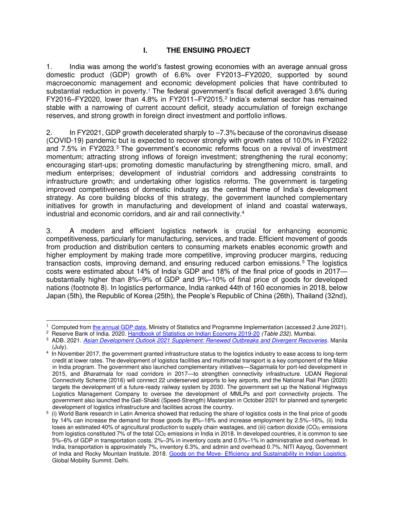#### **I. THE ENSUING PROJECT**

1. India was among the world's fastest growing economies with an average annual gross domestic product (GDP) growth of 6.6% over FY2013–FY2020, supported by sound macroeconomic management and economic development policies that have contributed to substantial reduction in poverty.<sup>1</sup> The federal government's fiscal deficit averaged 3.6% during FY2016-FY2020, lower than 4.8% in FY2011-FY2015.<sup>2</sup> India's external sector has remained stable with a narrowing of current account deficit, steady accumulation of foreign exchange reserves, and strong growth in foreign direct investment and portfolio inflows.

2. In FY2021, GDP growth decelerated sharply to –7.3% because of the coronavirus disease (COVID-19) pandemic but is expected to recover strongly with growth rates of 10.0% in FY2022 and 7.5% in FY2023.<sup>3</sup> The government's economic reforms focus on a revival of investment momentum; attracting strong inflows of foreign investment; strengthening the rural economy; encouraging start-ups; promoting domestic manufacturing by strengthening micro, small, and medium enterprises; development of industrial corridors and addressing constraints to infrastructure growth; and undertaking other logistics reforms. The government is targeting improved competitiveness of domestic industry as the central theme of India's development strategy. As core building blocks of this strategy, the government launched complementary initiatives for growth in manufacturing and development of inland and coastal waterways, industrial and economic corridors, and air and rail connectivity.<sup>4</sup>

3. A modern and efficient logistics network is crucial for enhancing economic competitiveness, particularly for manufacturing, services, and trade. Efficient movement of goods from production and distribution centers to consuming markets enables economic growth and higher employment by making trade more competitive, improving producer margins, reducing transaction costs, improving demand, and ensuring reduced carbon emissions.<sup>5</sup> The logistics costs were estimated about 14% of India's GDP and 18% of the final price of goods in 2017 substantially higher than 8%–9% of GDP and 9%–10% of final price of goods for developed nations (footnote 8). In logistics performance, India ranked 44th of 160 economies in 2018, below Japan (5th), the Republic of Korea (25th), the People's Republic of China (26th), Thailand (32nd),

<sup>&</sup>lt;sup>1</sup> Computed from [the annual GDP data,](http://mospi.nic.in/data) Ministry of Statistics and Programme Implementation (accessed 2 June 2021).

<sup>2</sup> Reserve Bank of India. 2020. [Handbook of Statistics on Indian Economy 2019-20](https://rbidocs.rbi.org.in/rdocs/Publications/PDFs/0HBS202024D4CA0CC03F4674B040F7DEDE7E5360.PDF) *(Table 232)*. Mumbai.

<sup>3</sup> ADB. 2021. *[Asian Development Outlook 2021 Supplement: Renewed Outbreaks and Divergent Recoveries](https://www.adb.org/sites/default/files/publication/715491/ado-supplement-july-2021.pdf)*. Manila (July).

<sup>4</sup> In November 2017, the government granted infrastructure status to the logistics industry to ease access to long-term credit at lower rates. The development of logistics facilities and multimodal transport is a key component of the Make in India program. The government also launched complementary initiatives—*Sagarmala* for port-led development in 2015, and *Bharatmala* for road corridors in 2017—to strengthen connectivity infrastructure. UDAN Regional Connectivity Scheme (2016) will connect 22 underserved airports to key airports, and the National Rail Plan (2020) targets the development of a future-ready railway system by 2030. The government set up the National Highways Logistics Management Company to oversee the development of MMLPs and port connectivity projects. The government also launched the Gati-Shakti (Speed-Strength) Masterplan in October 2021 for planned and synergetic development of logistics infrastructure and facilities across the country.

<sup>5</sup> (i) World Bank research in Latin America showed that reducing the share of logistics costs in the final price of goods by 14% can increase the demand for those goods by 8%–18% and increase employment by 2.5%–16%, (ii) India loses an estimated 40% of agricultural production to supply chain wastages, and (iii) carbon dioxide ( $CO<sub>2</sub>$ ) emissions from logistics constituted 7% of the total  $CO<sub>2</sub>$  emissions in India in 2018. In developed countries, it is common to see 5%–6% of GDP in transportation costs, 2%–3% in inventory costs and 0.5%–1% in administrative and overhead. In India, transportation is approximately 7%, inventory 6.3%, and admin and overhead 0.7%. NITI Aayog, Government of India and Rocky Mountain Institute. 2018. [Goods on the Move- Efficiency and Sustainability in Indian Logistics](http://movesummit.in/files/Freight_report.pdf)*.* Global Mobility Summit. Delhi.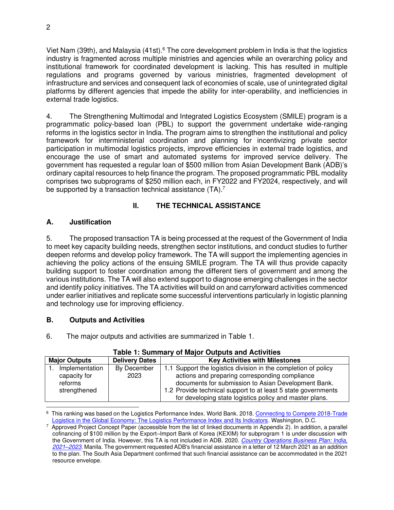Viet Nam (39th), and Malaysia (41st).<sup>6</sup> The core development problem in India is that the logistics industry is fragmented across multiple ministries and agencies while an overarching policy and institutional framework for coordinated development is lacking. This has resulted in multiple regulations and programs governed by various ministries, fragmented development of infrastructure and services and consequent lack of economies of scale, use of unintegrated digital platforms by different agencies that impede the ability for inter-operability, and inefficiencies in external trade logistics.

4. The Strengthening Multimodal and Integrated Logistics Ecosystem (SMILE) program is a programmatic policy-based loan (PBL) to support the government undertake wide-ranging reforms in the logistics sector in India. The program aims to strengthen the institutional and policy framework for interministerial coordination and planning for incentivizing private sector participation in multimodal logistics projects, improve efficiencies in external trade logistics, and encourage the use of smart and automated systems for improved service delivery. The government has requested a regular loan of \$500 million from Asian Development Bank (ADB)'s ordinary capital resources to help finance the program. The proposed programmatic PBL modality comprises two subprograms of \$250 million each, in FY2022 and FY2024, respectively, and will be supported by a transaction technical assistance (TA).<sup>7</sup>

# **II. THE TECHNICAL ASSISTANCE**

## **A. Justification**

5. The proposed transaction TA is being processed at the request of the Government of India to meet key capacity building needs, strengthen sector institutions, and conduct studies to further deepen reforms and develop policy framework. The TA will support the implementing agencies in achieving the policy actions of the ensuing SMILE program. The TA will thus provide capacity building support to foster coordination among the different tiers of government and among the various institutions. The TA will also extend support to diagnose emerging challenges in the sector and identify policy initiatives. The TA activities will build on and carryforward activities commenced under earlier initiatives and replicate some successful interventions particularly in logistic planning and technology use for improving efficiency.

## **B. Outputs and Activities**

6. The major outputs and activities are summarized in Table 1.

| <b>Major Outputs</b> | <b>Delivery Dates</b> | <b>Key Activities with Milestones</b>                          |  |
|----------------------|-----------------------|----------------------------------------------------------------|--|
| Implementation       | By December           | 1.1 Support the logistics division in the completion of policy |  |
| capacity for         | 2023                  | actions and preparing corresponding compliance                 |  |
| reforms              |                       | documents for submission to Asian Development Bank.            |  |
| strengthened         |                       | 1.2 Provide technical support to at least 5 state governments  |  |
|                      |                       | for developing state logistics policy and master plans.        |  |

#### **Table 1: Summary of Major Outputs and Activities**

<sup>&</sup>lt;sup>6</sup> This ranking was based on the Logistics Performance Index. World Bank. 2018. Connecting to Compete 2018-Trade [Logistics in the Global Economy: The Logistics Performance Index and Its Indicators](https://openknowledge.worldbank.org/bitstream/handle/10986/29971/LPI2018.pdf)*.* Washington, D.C.

<sup>7</sup> Approved Project Concept Paper (accessible from the list of linked documents in Appendix 2). In addition, a parallel cofinancing of \$100 million by the Export–Import Bank of Korea (KEXIM) for subprogram 1 is under discussion with the Government of India. However, this TA is not included in ADB. 2020. *[Country Operations Business Plan: India,](https://www.adb.org/sites/default/files/institutional-document/633571/cobp-ind-2021-2023.pdf)  2021–[2023.](https://www.adb.org/sites/default/files/institutional-document/633571/cobp-ind-2021-2023.pdf)* Manila. The government requested ADB's financial assistance in a letter of 12 March 2021 as an addition to the plan. The South Asia Department confirmed that such financial assistance can be accommodated in the 2021 resource envelope.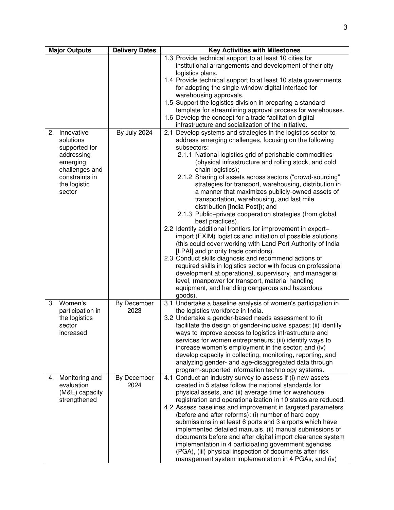| <b>Major Outputs</b>                                                                                               | <b>Delivery Dates</b> | <b>Key Activities with Milestones</b>                                                                                                                                                                                                                                                                                                                                                                                                                                                                                                                                                                                                                                                                                                                                                                                                                                                                                                                                                                                                                                                                     |
|--------------------------------------------------------------------------------------------------------------------|-----------------------|-----------------------------------------------------------------------------------------------------------------------------------------------------------------------------------------------------------------------------------------------------------------------------------------------------------------------------------------------------------------------------------------------------------------------------------------------------------------------------------------------------------------------------------------------------------------------------------------------------------------------------------------------------------------------------------------------------------------------------------------------------------------------------------------------------------------------------------------------------------------------------------------------------------------------------------------------------------------------------------------------------------------------------------------------------------------------------------------------------------|
| Innovative<br>2.                                                                                                   | By July 2024          | 1.3 Provide technical support to at least 10 cities for<br>institutional arrangements and development of their city<br>logistics plans.<br>1.4 Provide technical support to at least 10 state governments<br>for adopting the single-window digital interface for<br>warehousing approvals.<br>1.5 Support the logistics division in preparing a standard<br>template for streamlining approval process for warehouses.<br>1.6 Develop the concept for a trade facilitation digital<br>infrastructure and socialization of the initiative.<br>2.1 Develop systems and strategies in the logistics sector to                                                                                                                                                                                                                                                                                                                                                                                                                                                                                               |
| solutions<br>supported for<br>addressing<br>emerging<br>challenges and<br>constraints in<br>the logistic<br>sector |                       | address emerging challenges, focusing on the following<br>subsectors:<br>2.1.1 National logistics grid of perishable commodities<br>(physical infrastructure and rolling stock, and cold<br>chain logistics);<br>2.1.2 Sharing of assets across sectors ("crowd-sourcing"<br>strategies for transport, warehousing, distribution in<br>a manner that maximizes publicly-owned assets of<br>transportation, warehousing, and last mile<br>distribution [India Post]); and<br>2.1.3 Public-private cooperation strategies (from global<br>best practices).<br>2.2 Identify additional frontiers for improvement in export-<br>import (EXIM) logistics and initiation of possible solutions<br>(this could cover working with Land Port Authority of India<br>[LPAI] and priority trade corridors).<br>2.3 Conduct skills diagnosis and recommend actions of<br>required skills in logistics sector with focus on professional<br>development at operational, supervisory, and managerial<br>level, (manpower for transport, material handling<br>equipment, and handling dangerous and hazardous<br>goods). |
| Women's<br>3.<br>participation in<br>the logistics<br>sector<br>increased                                          | By December<br>2023   | 3.1 Undertake a baseline analysis of women's participation in<br>the logistics workforce in India.<br>3.2 Undertake a gender-based needs assessment to (i)<br>facilitate the design of gender-inclusive spaces; (ii) identify<br>ways to improve access to logistics infrastructure and<br>services for women entrepreneurs; (iii) identify ways to<br>increase women's employment in the sector; and (iv)<br>develop capacity in collecting, monitoring, reporting, and<br>analyzing gender- and age-disaggregated data through<br>program-supported information technology systems.                                                                                                                                                                                                                                                                                                                                                                                                                                                                                                                     |
| 4. Monitoring and<br>evaluation<br>(M&E) capacity<br>strengthened                                                  | By December<br>2024   | 4.1 Conduct an industry survey to assess if (i) new assets<br>created in 5 states follow the national standards for<br>physical assets, and (ii) average time for warehouse<br>registration and operationalization in 10 states are reduced.<br>4.2 Assess baselines and improvement in targeted parameters<br>(before and after reforms): (i) number of hard copy<br>submissions in at least 6 ports and 3 airports which have<br>implemented detailed manuals, (ii) manual submissions of<br>documents before and after digital import clearance system<br>implementation in 4 participating government agencies<br>(PGA), (iii) physical inspection of documents after risk<br>management system implementation in 4 PGAs, and (iv)                                                                                                                                                                                                                                                                                                                                                                    |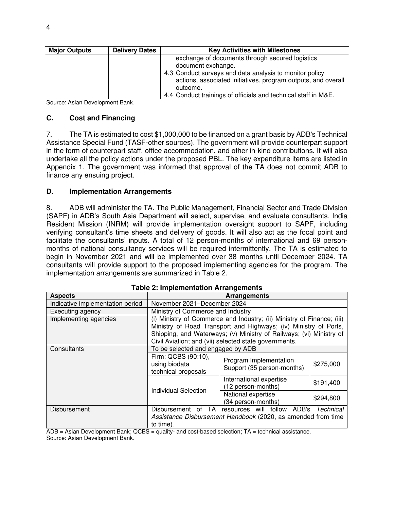| <b>Major Outputs</b> | <b>Delivery Dates</b> | <b>Key Activities with Milestones</b>                          |  |
|----------------------|-----------------------|----------------------------------------------------------------|--|
|                      |                       | exchange of documents through secured logistics                |  |
|                      |                       | document exchange.                                             |  |
|                      |                       | 4.3 Conduct surveys and data analysis to monitor policy        |  |
|                      |                       | actions, associated initiatives, program outputs, and overall  |  |
|                      |                       | outcome.                                                       |  |
|                      |                       | 4.4 Conduct trainings of officials and technical staff in M&E. |  |

Source: Asian Development Bank.

#### **C. Cost and Financing**

7. The TA is estimated to cost \$1,000,000 to be financed on a grant basis by ADB's Technical Assistance Special Fund (TASF-other sources). The government will provide counterpart support in the form of counterpart staff, office accommodation, and other in-kind contributions. It will also undertake all the policy actions under the proposed PBL. The key expenditure items are listed in Appendix 1. The government was informed that approval of the TA does not commit ADB to finance any ensuing project.

#### **D. Implementation Arrangements**

8. ADB will administer the TA. The Public Management, Financial Sector and Trade Division (SAPF) in ADB's South Asia Department will select, supervise, and evaluate consultants. India Resident Mission (INRM) will provide implementation oversight support to SAPF, including verifying consultant's time sheets and delivery of goods. It will also act as the focal point and facilitate the consultants' inputs. A total of 12 person-months of international and 69 personmonths of national consultancy services will be required intermittently. The TA is estimated to begin in November 2021 and will be implemented over 38 months until December 2024. TA consultants will provide support to the proposed implementing agencies for the program. The implementation arrangements are summarized in Table 2.

| <u>rapie z. mipiementativn Afrangements</u> |                                                              |                                                                        |           |  |
|---------------------------------------------|--------------------------------------------------------------|------------------------------------------------------------------------|-----------|--|
| <b>Aspects</b>                              |                                                              | <b>Arrangements</b>                                                    |           |  |
| Indicative implementation period            | November 2021-December 2024                                  |                                                                        |           |  |
| Executing agency                            | Ministry of Commerce and Industry                            |                                                                        |           |  |
| Implementing agencies                       |                                                              | (i) Ministry of Commerce and Industry; (ii) Ministry of Finance; (iii) |           |  |
|                                             |                                                              | Ministry of Road Transport and Highways; (iv) Ministry of Ports,       |           |  |
|                                             |                                                              | Shipping, and Waterways; (v) Ministry of Railways; (vi) Ministry of    |           |  |
|                                             | Civil Aviation; and (vii) selected state governments.        |                                                                        |           |  |
| Consultants                                 | To be selected and engaged by ADB                            |                                                                        |           |  |
|                                             | Firm: QCBS (90:10),                                          |                                                                        |           |  |
|                                             | using biodata                                                | Program Implementation<br>Support (35 person-months)                   | \$275,000 |  |
|                                             | technical proposals                                          |                                                                        |           |  |
|                                             |                                                              | International expertise                                                | \$191,400 |  |
|                                             | <b>Individual Selection</b>                                  | (12 person-months)                                                     |           |  |
|                                             |                                                              | National expertise                                                     | \$294,800 |  |
|                                             |                                                              | (34 person-months)                                                     |           |  |
| Disbursement                                | resources will follow ADB's Technical<br>Disbursement of TA  |                                                                        |           |  |
|                                             | Assistance Disbursement Handbook (2020, as amended from time |                                                                        |           |  |
|                                             | to time).                                                    |                                                                        |           |  |

|  | <b>Table 2: Implementation Arrangements</b> |  |
|--|---------------------------------------------|--|
|--|---------------------------------------------|--|

 $\overline{ADB}$  = Asian Development Bank; QCBS = quality- and cost-based selection;  $TA$  = technical assistance. Source: Asian Development Bank.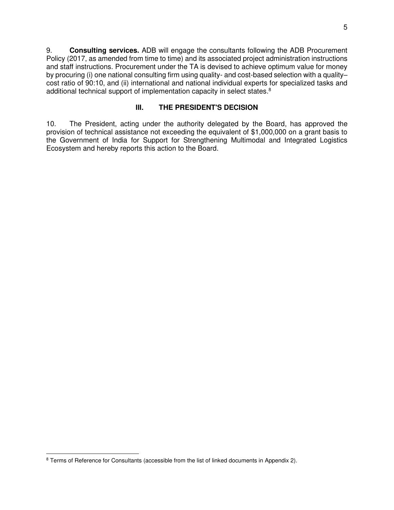9. **Consulting services.** ADB will engage the consultants following the ADB Procurement Policy (2017, as amended from time to time) and its associated project administration instructions and staff instructions. Procurement under the TA is devised to achieve optimum value for money by procuring (i) one national consulting firm using quality- and cost-based selection with a quality– cost ratio of 90:10, and (ii) international and national individual experts for specialized tasks and additional technical support of implementation capacity in select states.<sup>8</sup>

# **III. THE PRESIDENT'S DECISION**

10. The President, acting under the authority delegated by the Board, has approved the provision of technical assistance not exceeding the equivalent of \$1,000,000 on a grant basis to the Government of India for Support for Strengthening Multimodal and Integrated Logistics Ecosystem and hereby reports this action to the Board.

<sup>&</sup>lt;sup>8</sup> Terms of Reference for Consultants (accessible from the list of linked documents in Appendix 2).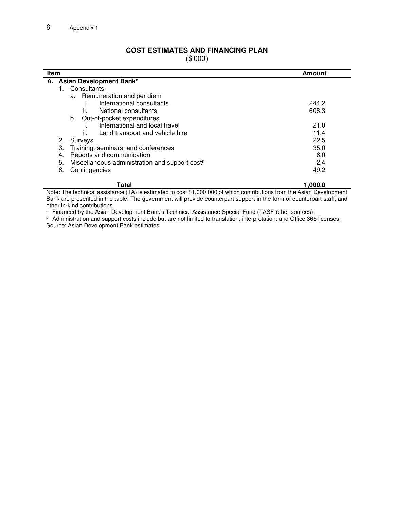### **COST ESTIMATES AND FINANCING PLAN**

(\$'000)

| <b>Item</b>                                                      | Amount  |
|------------------------------------------------------------------|---------|
| A. Asian Development Bank <sup>a</sup>                           |         |
| Consultants                                                      |         |
| a. Remuneration and per diem                                     |         |
| International consultants                                        | 244.2   |
| National consultants<br>II.                                      | 608.3   |
| Out-of-pocket expenditures<br>b.                                 |         |
| International and local travel                                   | 21.0    |
| Land transport and vehicle hire<br>ii.                           | 11.4    |
| 2.<br>Surveys                                                    | 22.5    |
| З.<br>Training, seminars, and conferences                        | 35.0    |
| Reports and communication<br>4.                                  | 6.0     |
| 5.<br>Miscellaneous administration and support cost <sup>b</sup> | 2.4     |
| 6.<br>Contingencies                                              | 49.2    |
| Total                                                            | 1.000.0 |

Note: The technical assistance (TA) is estimated to cost \$1,000,000 of which contributions from the Asian Development Bank are presented in the table. The government will provide counterpart support in the form of counterpart staff, and other in-kind contributions.

<sup>a</sup> Financed by the Asian Development Bank's Technical Assistance Special Fund (TASF-other sources).

**b** Administration and support costs include but are not limited to translation, interpretation, and Office 365 licenses. Source: Asian Development Bank estimates.